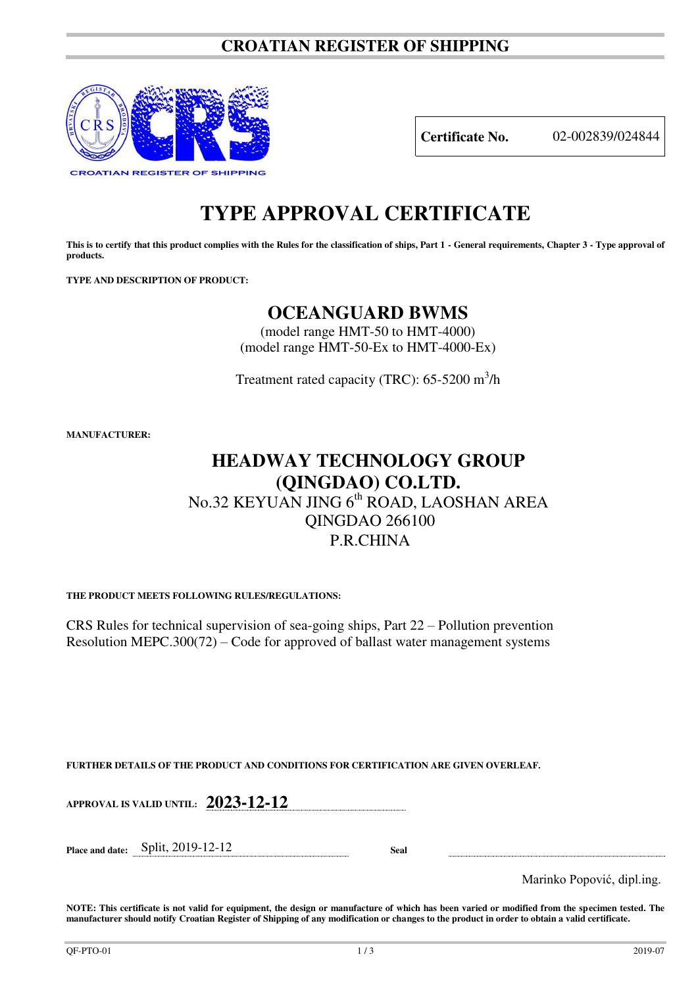### **CROATIAN REGISTER OF SHIPPING**



**Certificate No.** 02-002839/024844

# **TYPE APPROVAL CERTIFICATE**

This is to certify that this product complies with the Rules for the classification of ships, Part 1 - General requirements, Chapter 3 - Type approval of **products.** 

**TYPE AND DESCRIPTION OF PRODUCT:** 

### **OCEANGUARD BWMS**

(model range HMT-50 to HMT-4000) (model range HMT-50-Ex to HMT-4000-Ex)

Treatment rated capacity (TRC):  $65-5200 \text{ m}^3/\text{h}$ 

**MANUFACTURER:**

### **HEADWAY TECHNOLOGY GROUP (QINGDAO) CO.LTD.**  No.32 KEYUAN JING 6<sup>th</sup> ROAD, LAOSHAN AREA

## QINGDAO 266100 P.R.CHINA

**THE PRODUCT MEETS FOLLOWING RULES/REGULATIONS:**

CRS Rules for technical supervision of sea-going ships, Part 22 – Pollution prevention Resolution MEPC.300(72) – Code for approved of ballast water management systems

**FURTHER DETAILS OF THE PRODUCT AND CONDITIONS FOR CERTIFICATION ARE GIVEN OVERLEAF.**

**APPROVAL IS VALID UNTIL: 2023-12-12**

**Place and date:** Split, 2019-12-12 **Seal** 

Marinko Popović, dipl.ing.

**NOTE: This certificate is not valid for equipment, the design or manufacture of which has been varied or modified from the specimen tested. The manufacturer should notify Croatian Register of Shipping of any modification or changes to the product in order to obtain a valid certificate.**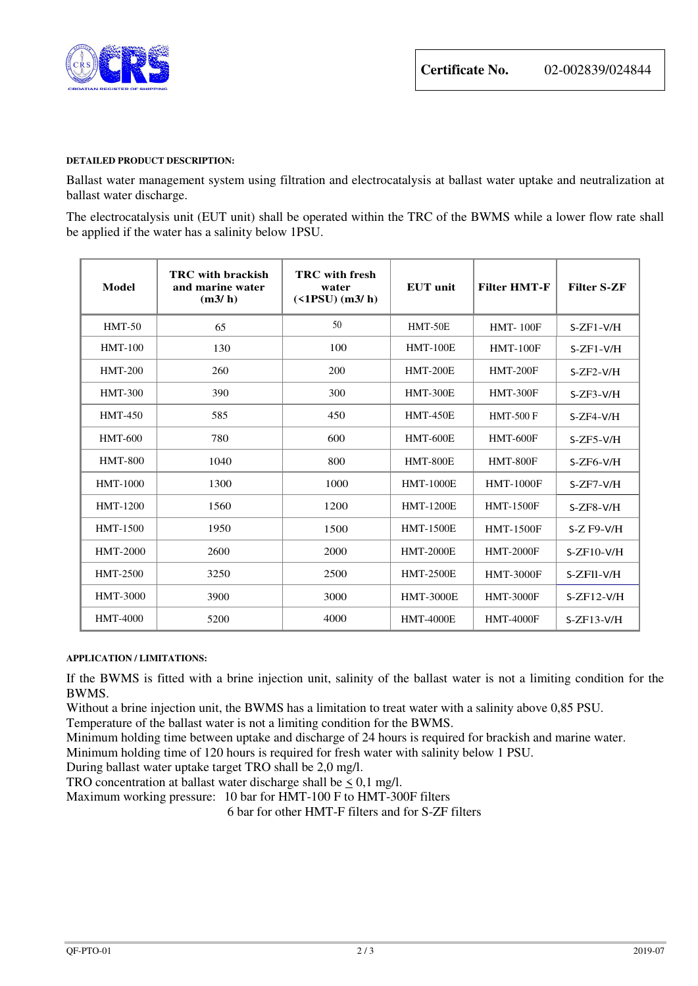

#### **DETAILED PRODUCT DESCRIPTION:**

Ballast water management system using filtration and electrocatalysis at ballast water uptake and neutralization at ballast water discharge.

The electrocatalysis unit (EUT unit) shall be operated within the TRC of the BWMS while a lower flow rate shall be applied if the water has a salinity below 1PSU.

| Model           | <b>TRC</b> with brackish<br>and marine water<br>(m3/h) | <b>TRC</b> with fresh<br>water<br>$($ <1PSU $)$ (m3/h) | <b>EUT</b> unit  | <b>Filter HMT-F</b> | <b>Filter S-ZF</b> |
|-----------------|--------------------------------------------------------|--------------------------------------------------------|------------------|---------------------|--------------------|
| $HMT-50$        | 65                                                     | 50                                                     | HMT-50E          | <b>HMT-100F</b>     | $S-ZF1-V/H$        |
| <b>HMT-100</b>  | 130                                                    | 100                                                    | <b>HMT-100E</b>  | <b>HMT-100F</b>     | $S-ZF1-V/H$        |
| <b>HMT-200</b>  | 260                                                    | 200                                                    | <b>HMT-200E</b>  | <b>HMT-200F</b>     | $S-ZF2-V/H$        |
| <b>HMT-300</b>  | 390                                                    | 300                                                    | <b>HMT-300E</b>  | <b>HMT-300F</b>     | $S-ZF3-V/H$        |
| <b>HMT-450</b>  | 585                                                    | 450                                                    | <b>HMT-450E</b>  | <b>HMT-500 F</b>    | $S-ZF4-V/H$        |
| <b>HMT-600</b>  | 780                                                    | 600                                                    | <b>HMT-600E</b>  | <b>HMT-600F</b>     | $S-ZF5-V/H$        |
| <b>HMT-800</b>  | 1040                                                   | 800                                                    | <b>HMT-800E</b>  | <b>HMT-800F</b>     | $S-ZF6-V/H$        |
| <b>HMT-1000</b> | 1300                                                   | 1000                                                   | <b>HMT-1000E</b> | <b>HMT-1000F</b>    | $S-ZF7-V/H$        |
| HMT-1200        | 1560                                                   | 1200                                                   | <b>HMT-1200E</b> | <b>HMT-1500F</b>    | $S-ZF8-V/H$        |
| <b>HMT-1500</b> | 1950                                                   | 1500                                                   | <b>HMT-1500E</b> | <b>HMT-1500F</b>    | $S-Z$ F9-V/H       |
| <b>HMT-2000</b> | 2600                                                   | 2000                                                   | <b>HMT-2000E</b> | <b>HMT-2000F</b>    | $S-ZF10-V/H$       |
| <b>HMT-2500</b> | 3250                                                   | 2500                                                   | <b>HMT-2500E</b> | <b>HMT-3000F</b>    | S-ZFII-V/H         |
| HMT-3000        | 3900                                                   | 3000                                                   | <b>HMT-3000E</b> | <b>HMT-3000F</b>    | $S-ZF12-V/H$       |
| HMT-4000        | 5200                                                   | 4000                                                   | <b>HMT-4000E</b> | <b>HMT-4000F</b>    | $S-ZF13-V/H$       |

#### **APPLICATION / LIMITATIONS:**

If the BWMS is fitted with a brine injection unit, salinity of the ballast water is not a limiting condition for the BWMS.

Without a brine injection unit, the BWMS has a limitation to treat water with a salinity above 0,85 PSU.

Temperature of the ballast water is not a limiting condition for the BWMS.

Minimum holding time between uptake and discharge of 24 hours is required for brackish and marine water.

Minimum holding time of 120 hours is required for fresh water with salinity below 1 PSU.

During ballast water uptake target TRO shall be 2,0 mg/l.

TRO concentration at ballast water discharge shall be  $\leq 0.1$  mg/l.

Maximum working pressure: 10 bar for HMT-100 F to HMT-300F filters

6 bar for other HMT-F filters and for S-ZF filters